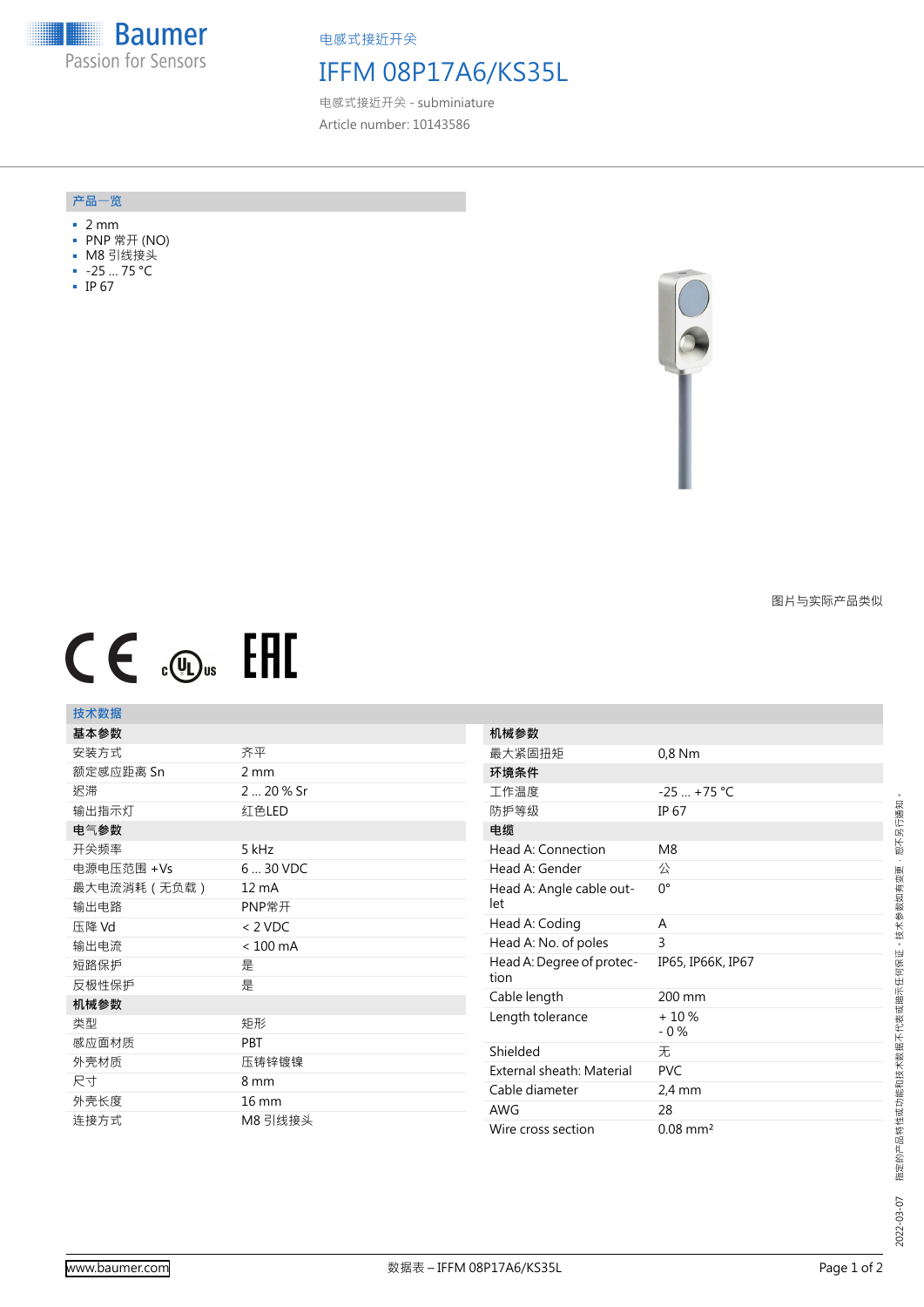**Baumer All** Passion for Sensors

电感式接近开关

# IFFM 08P17A6/KS35L

电感式接近开关 - subminiature Article number: 10143586

#### **产品**一**览**

- 2 mm
- PNP 常开 (NO)
- M8 引线接头
- -25 … 75 °C
- IP 67



图片与实际产品类似

# $CE \mathcal{L}$  (Dus FHI

## **技术数据**

| 基本参数         |                    | 机械参数             |
|--------------|--------------------|------------------|
| 安装方式         | 齐平                 | 最大紧固扭矩           |
| 额定感应距离 Sn    | $2 \, \text{mm}$   | 环境条件             |
| 迟滞           | 2  20 % Sr         | 工作温度             |
| 输出指示灯        | 红色LED              | 防护等级             |
| 电气参数         |                    | 电缆               |
| 开关频率         | 5 kHz              | Head A: Connee   |
| 电源电压范围 +Vs   | 6  30 VDC          | Head A: Gender   |
| 最大电流消耗 (无负载) | 12 mA              | Head A: Angle o  |
| 输出电路         | PNP常开              | let              |
| 压降 Vd        | $< 2$ VDC          | Head A: Coding   |
| 输出电流         | $< 100 \text{ mA}$ | Head A: No. of   |
| 短路保护         | 是                  | Head A: Degree   |
| 反极性保护        | 是                  | tion             |
| 机械参数         |                    | Cable length     |
| 类型           | 矩形                 | Length tolerand  |
| 感应面材质        | <b>PBT</b>         | Shielded         |
| 外壳材质         | 压铸锌镀镍              |                  |
| 尺寸           | 8 mm               | External sheath  |
| 外壳长度         | $16 \text{ mm}$    | Cable diameter   |
|              |                    | <b>AWG</b>       |
| 连接方式         | M8 引线接头            | Wire cross secti |

| 机械参数                              |                        |
|-----------------------------------|------------------------|
| 最大紧固扭矩                            | $0.8$ Nm               |
| 环境条件                              |                        |
| 工作温度                              | $-25$ +75 °C           |
| 防护等级                              | IP 67                  |
| 电缆                                |                        |
| Head A: Connection                | M <sub>8</sub>         |
| Head A: Gender                    | 公                      |
| Head A: Angle cable out-<br>let   | 0°                     |
| Head A: Coding                    | A                      |
| Head A: No. of poles              | 3                      |
| Head A: Degree of protec-<br>tion | IP65, IP66K, IP67      |
| Cable length                      | 200 mm                 |
| Length tolerance                  | $+10%$<br>$-0\%$       |
| Shielded                          | 无                      |
| External sheath: Material         | <b>PVC</b>             |
| Cable diameter                    | $2.4 \text{ mm}$       |
| <b>AWG</b>                        | 28                     |
| Wire cross section                | $0.08$ mm <sup>2</sup> |